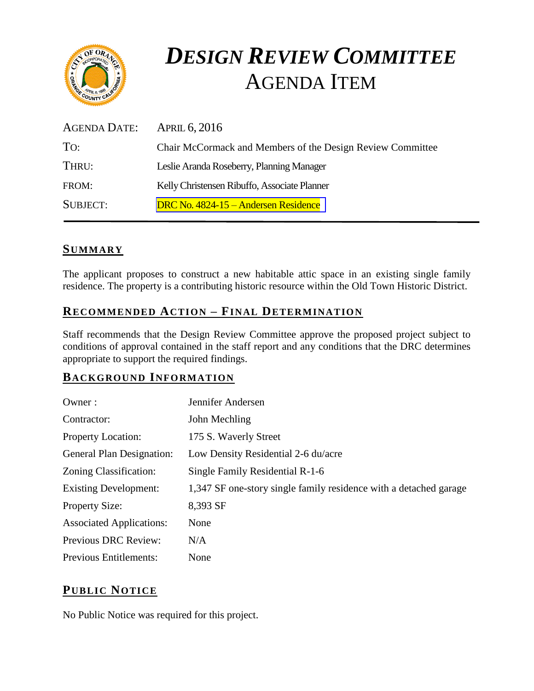

# *DESIGN REVIEW COMMITTEE*  AGENDA ITEM

| AGENDA DATE:    | <b>APRIL 6, 2016</b>                                       |
|-----------------|------------------------------------------------------------|
| TO:             | Chair McCormack and Members of the Design Review Committee |
| THRU:           | Leslie Aranda Roseberry, Planning Manager                  |
| FROM:           | Kelly Christensen Ribuffo, Associate Planner               |
| <b>SUBJECT:</b> | DRC No. 4824-15 – Andersen Residence                       |

## **SUMMARY**

The applicant proposes to construct a new habitable attic space in an existing single family residence. The property is a contributing historic resource within the Old Town Historic District.

# **RECOMMENDED ACTION – FINAL DETERMINATION**

Staff recommends that the Design Review Committee approve the proposed project subject to conditions of approval contained in the staff report and any conditions that the DRC determines appropriate to support the required findings.

## **BACKGROUND INFORMATION**

| Owner:                           | Jennifer Andersen                                                 |
|----------------------------------|-------------------------------------------------------------------|
| Contractor:                      | John Mechling                                                     |
| <b>Property Location:</b>        | 175 S. Waverly Street                                             |
| <b>General Plan Designation:</b> | Low Density Residential 2-6 du/acre                               |
| Zoning Classification:           | Single Family Residential R-1-6                                   |
| <b>Existing Development:</b>     | 1,347 SF one-story single family residence with a detached garage |
| <b>Property Size:</b>            | 8,393 SF                                                          |
| <b>Associated Applications:</b>  | None                                                              |
| Previous DRC Review:             | N/A                                                               |
| <b>Previous Entitlements:</b>    | None                                                              |

# **PUB LIC NOTICE**

No Public Notice was required for this project.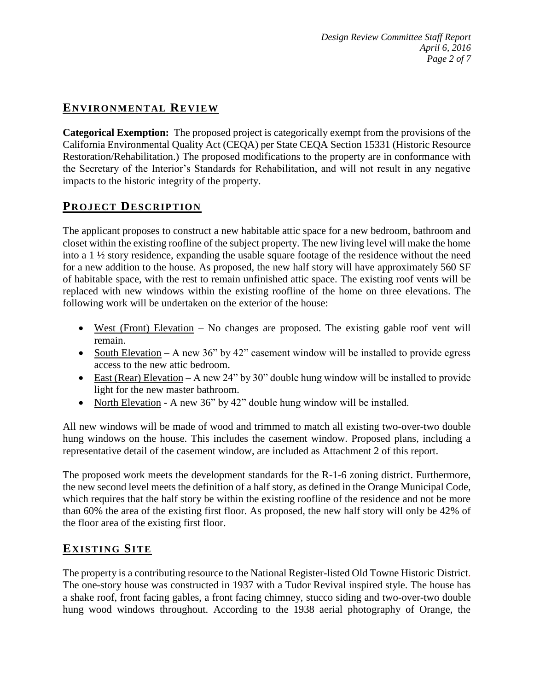# **ENVIRONMENTAL REVIEW**

**Categorical Exemption:** The proposed project is categorically exempt from the provisions of the California Environmental Quality Act (CEQA) per State CEQA Section 15331 (Historic Resource Restoration/Rehabilitation.) The proposed modifications to the property are in conformance with the Secretary of the Interior's Standards for Rehabilitation, and will not result in any negative impacts to the historic integrity of the property.

## **PROJECT DESCRIP TION**

The applicant proposes to construct a new habitable attic space for a new bedroom, bathroom and closet within the existing roofline of the subject property. The new living level will make the home into a 1 ½ story residence, expanding the usable square footage of the residence without the need for a new addition to the house. As proposed, the new half story will have approximately 560 SF of habitable space, with the rest to remain unfinished attic space. The existing roof vents will be replaced with new windows within the existing roofline of the home on three elevations. The following work will be undertaken on the exterior of the house:

- West (Front) Elevation No changes are proposed. The existing gable roof vent will remain.
- South Elevation A new 36" by 42" casement window will be installed to provide egress access to the new attic bedroom.
- East (Rear) Elevation A new 24" by 30" double hung window will be installed to provide light for the new master bathroom.
- North Elevation A new 36" by 42" double hung window will be installed.

All new windows will be made of wood and trimmed to match all existing two-over-two double hung windows on the house. This includes the casement window. Proposed plans, including a representative detail of the casement window, are included as Attachment 2 of this report.

The proposed work meets the development standards for the R-1-6 zoning district. Furthermore, the new second level meets the definition of a half story, as defined in the Orange Municipal Code, which requires that the half story be within the existing roofline of the residence and not be more than 60% the area of the existing first floor. As proposed, the new half story will only be 42% of the floor area of the existing first floor.

## **EXISTING SITE**

The property is a contributing resource to the National Register-listed Old Towne Historic District. The one-story house was constructed in 1937 with a Tudor Revival inspired style. The house has a shake roof, front facing gables, a front facing chimney, stucco siding and two-over-two double hung wood windows throughout. According to the 1938 aerial photography of Orange, the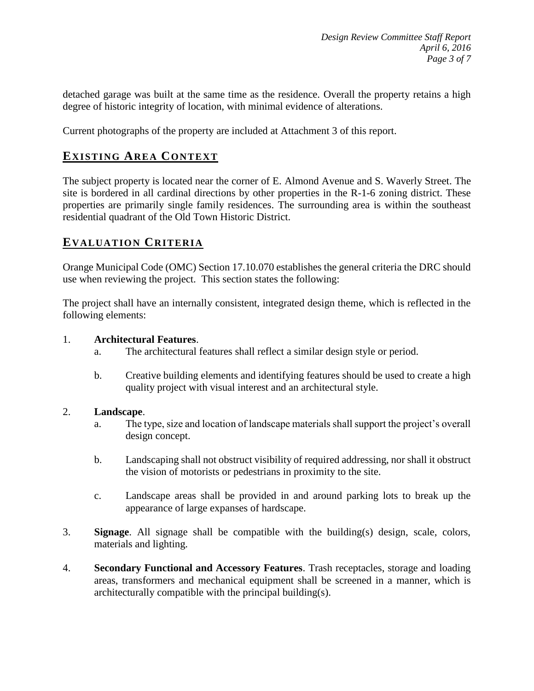detached garage was built at the same time as the residence. Overall the property retains a high degree of historic integrity of location, with minimal evidence of alterations.

Current photographs of the property are included at Attachment 3 of this report.

## **EXISTING AREA CONTEXT**

The subject property is located near the corner of E. Almond Avenue and S. Waverly Street. The site is bordered in all cardinal directions by other properties in the R-1-6 zoning district. These properties are primarily single family residences. The surrounding area is within the southeast residential quadrant of the Old Town Historic District.

#### **EVALUATION CRITERIA**

Orange Municipal Code (OMC) Section 17.10.070 establishes the general criteria the DRC should use when reviewing the project. This section states the following:

The project shall have an internally consistent, integrated design theme, which is reflected in the following elements:

#### 1. **Architectural Features**.

- a. The architectural features shall reflect a similar design style or period.
- b. Creative building elements and identifying features should be used to create a high quality project with visual interest and an architectural style.

#### 2. **Landscape**.

- a. The type, size and location of landscape materials shall support the project's overall design concept.
- b. Landscaping shall not obstruct visibility of required addressing, nor shall it obstruct the vision of motorists or pedestrians in proximity to the site.
- c. Landscape areas shall be provided in and around parking lots to break up the appearance of large expanses of hardscape.
- 3. **Signage**. All signage shall be compatible with the building(s) design, scale, colors, materials and lighting.
- 4. **Secondary Functional and Accessory Features**. Trash receptacles, storage and loading areas, transformers and mechanical equipment shall be screened in a manner, which is architecturally compatible with the principal building(s).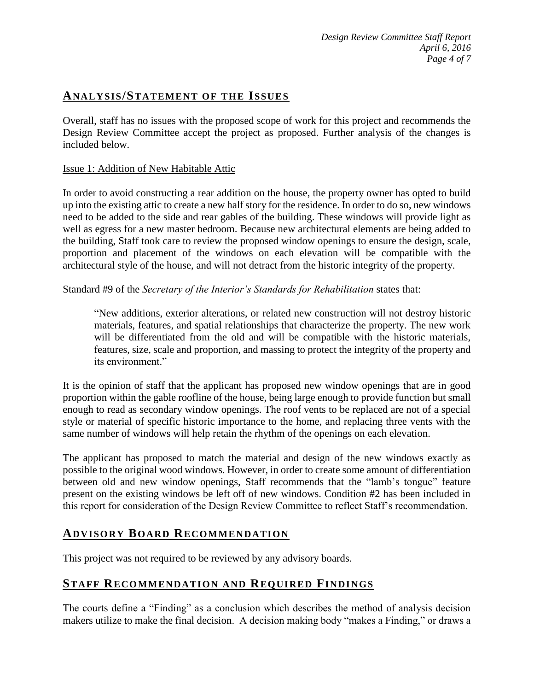## **ANALY SIS/STATEMENT OF THE ISSUES**

Overall, staff has no issues with the proposed scope of work for this project and recommends the Design Review Committee accept the project as proposed. Further analysis of the changes is included below.

#### Issue 1: Addition of New Habitable Attic

In order to avoid constructing a rear addition on the house, the property owner has opted to build up into the existing attic to create a new half story for the residence. In order to do so, new windows need to be added to the side and rear gables of the building. These windows will provide light as well as egress for a new master bedroom. Because new architectural elements are being added to the building, Staff took care to review the proposed window openings to ensure the design, scale, proportion and placement of the windows on each elevation will be compatible with the architectural style of the house, and will not detract from the historic integrity of the property.

Standard #9 of the *Secretary of the Interior's Standards for Rehabilitation* states that:

"New additions, exterior alterations, or related new construction will not destroy historic materials, features, and spatial relationships that characterize the property. The new work will be differentiated from the old and will be compatible with the historic materials, features, size, scale and proportion, and massing to protect the integrity of the property and its environment."

It is the opinion of staff that the applicant has proposed new window openings that are in good proportion within the gable roofline of the house, being large enough to provide function but small enough to read as secondary window openings. The roof vents to be replaced are not of a special style or material of specific historic importance to the home, and replacing three vents with the same number of windows will help retain the rhythm of the openings on each elevation.

The applicant has proposed to match the material and design of the new windows exactly as possible to the original wood windows. However, in order to create some amount of differentiation between old and new window openings, Staff recommends that the "lamb's tongue" feature present on the existing windows be left off of new windows. Condition #2 has been included in this report for consideration of the Design Review Committee to reflect Staff's recommendation.

#### **ADVISORY BOARD RECOMMENDATION**

This project was not required to be reviewed by any advisory boards.

## **STAFF RECOMMENDATION AND REQUIRED FINDINGS**

The courts define a "Finding" as a conclusion which describes the method of analysis decision makers utilize to make the final decision. A decision making body "makes a Finding," or draws a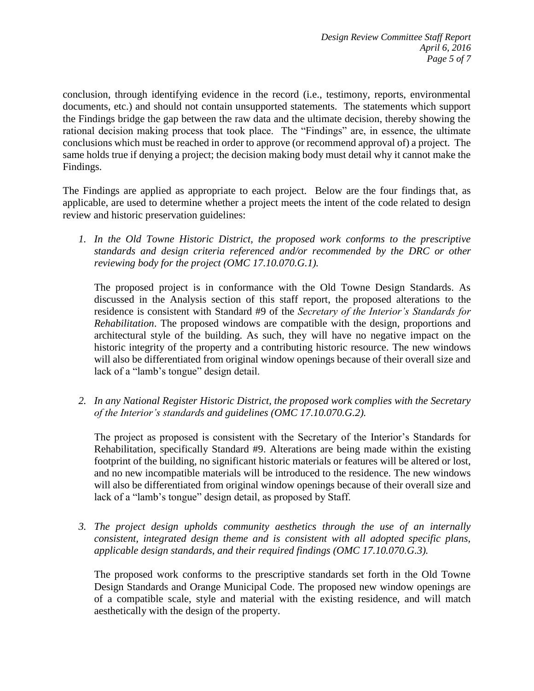conclusion, through identifying evidence in the record (i.e., testimony, reports, environmental documents, etc.) and should not contain unsupported statements. The statements which support the Findings bridge the gap between the raw data and the ultimate decision, thereby showing the rational decision making process that took place. The "Findings" are, in essence, the ultimate conclusions which must be reached in order to approve (or recommend approval of) a project. The same holds true if denying a project; the decision making body must detail why it cannot make the Findings.

The Findings are applied as appropriate to each project.Below are the four findings that, as applicable, are used to determine whether a project meets the intent of the code related to design review and historic preservation guidelines:

*1. In the Old Towne Historic District, the proposed work conforms to the prescriptive standards and design criteria referenced and/or recommended by the DRC or other reviewing body for the project (OMC 17.10.070.G.1).*

The proposed project is in conformance with the Old Towne Design Standards. As discussed in the Analysis section of this staff report, the proposed alterations to the residence is consistent with Standard #9 of the *Secretary of the Interior's Standards for Rehabilitation*. The proposed windows are compatible with the design, proportions and architectural style of the building. As such, they will have no negative impact on the historic integrity of the property and a contributing historic resource. The new windows will also be differentiated from original window openings because of their overall size and lack of a "lamb's tongue" design detail.

*2. In any National Register Historic District, the proposed work complies with the Secretary of the Interior's standards and guidelines (OMC 17.10.070.G.2).*

The project as proposed is consistent with the Secretary of the Interior's Standards for Rehabilitation, specifically Standard #9. Alterations are being made within the existing footprint of the building, no significant historic materials or features will be altered or lost, and no new incompatible materials will be introduced to the residence. The new windows will also be differentiated from original window openings because of their overall size and lack of a "lamb's tongue" design detail, as proposed by Staff.

*3. The project design upholds community aesthetics through the use of an internally consistent, integrated design theme and is consistent with all adopted specific plans, applicable design standards, and their required findings (OMC 17.10.070.G.3).*

The proposed work conforms to the prescriptive standards set forth in the Old Towne Design Standards and Orange Municipal Code. The proposed new window openings are of a compatible scale, style and material with the existing residence, and will match aesthetically with the design of the property.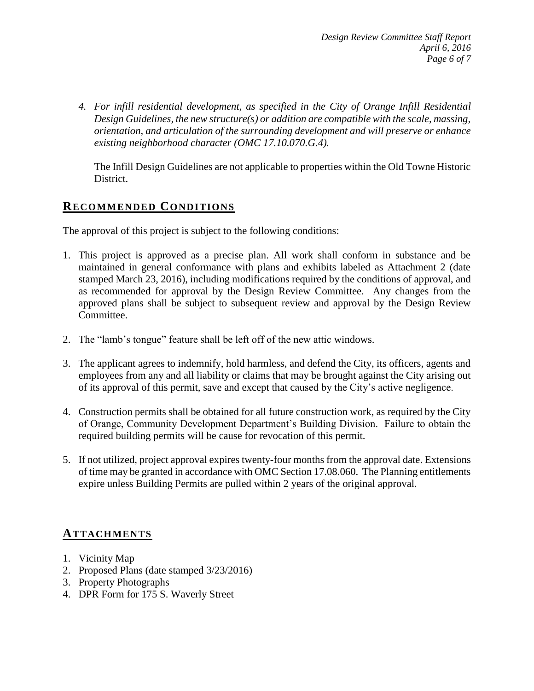*4. For infill residential development, as specified in the City of Orange Infill Residential Design Guidelines, the new structure(s) or addition are compatible with the scale, massing, orientation, and articulation of the surrounding development and will preserve or enhance existing neighborhood character (OMC 17.10.070.G.4).*

The Infill Design Guidelines are not applicable to properties within the Old Towne Historic District.

## **RECOMMENDED CONDITIONS**

The approval of this project is subject to the following conditions:

- 1. This project is approved as a precise plan. All work shall conform in substance and be maintained in general conformance with plans and exhibits labeled as Attachment 2 (date stamped March 23, 2016), including modifications required by the conditions of approval, and as recommended for approval by the Design Review Committee. Any changes from the approved plans shall be subject to subsequent review and approval by the Design Review Committee.
- 2. The "lamb's tongue" feature shall be left off of the new attic windows.
- 3. The applicant agrees to indemnify, hold harmless, and defend the City, its officers, agents and employees from any and all liability or claims that may be brought against the City arising out of its approval of this permit, save and except that caused by the City's active negligence.
- 4. Construction permits shall be obtained for all future construction work, as required by the City of Orange, Community Development Department's Building Division. Failure to obtain the required building permits will be cause for revocation of this permit.
- 5. If not utilized, project approval expires twenty-four months from the approval date. Extensions of time may be granted in accordance with OMC Section 17.08.060. The Planning entitlements expire unless Building Permits are pulled within 2 years of the original approval.

## **ATTACHMENTS**

- 1. Vicinity Map
- 2. Proposed Plans (date stamped 3/23/2016)
- 3. Property Photographs
- 4. DPR Form for 175 S. Waverly Street